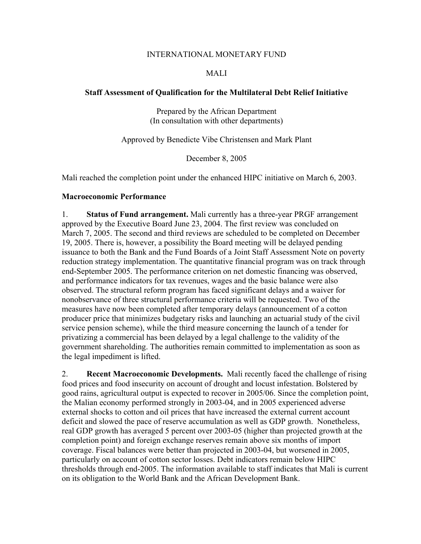#### INTERNATIONAL MONETARY FUND

### MALI

### **Staff Assessment of Qualification for the Multilateral Debt Relief Initiative**

Prepared by the African Department (In consultation with other departments)

Approved by Benedicte Vibe Christensen and Mark Plant

December 8, 2005

Mali reached the completion point under the enhanced HIPC initiative on March 6, 2003.

### **Macroeconomic Performance**

1. **Status of Fund arrangement.** Mali currently has a three-year PRGF arrangement approved by the Executive Board June 23, 2004. The first review was concluded on March 7, 2005. The second and third reviews are scheduled to be completed on December 19, 2005. There is, however, a possibility the Board meeting will be delayed pending issuance to both the Bank and the Fund Boards of a Joint Staff Assessment Note on poverty reduction strategy implementation. The quantitative financial program was on track through end-September 2005. The performance criterion on net domestic financing was observed, and performance indicators for tax revenues, wages and the basic balance were also observed. The structural reform program has faced significant delays and a waiver for nonobservance of three structural performance criteria will be requested. Two of the measures have now been completed after temporary delays (announcement of a cotton producer price that minimizes budgetary risks and launching an actuarial study of the civil service pension scheme), while the third measure concerning the launch of a tender for privatizing a commercial has been delayed by a legal challenge to the validity of the government shareholding. The authorities remain committed to implementation as soon as the legal impediment is lifted.

2. **Recent Macroeconomic Developments.** Mali recently faced the challenge of rising food prices and food insecurity on account of drought and locust infestation. Bolstered by good rains, agricultural output is expected to recover in 2005/06. Since the completion point, the Malian economy performed strongly in 2003-04, and in 2005 experienced adverse external shocks to cotton and oil prices that have increased the external current account deficit and slowed the pace of reserve accumulation as well as GDP growth. Nonetheless, real GDP growth has averaged 5 percent over 2003-05 (higher than projected growth at the completion point) and foreign exchange reserves remain above six months of import coverage. Fiscal balances were better than projected in 2003-04, but worsened in 2005, particularly on account of cotton sector losses. Debt indicators remain below HIPC thresholds through end-2005. The information available to staff indicates that Mali is current on its obligation to the World Bank and the African Development Bank.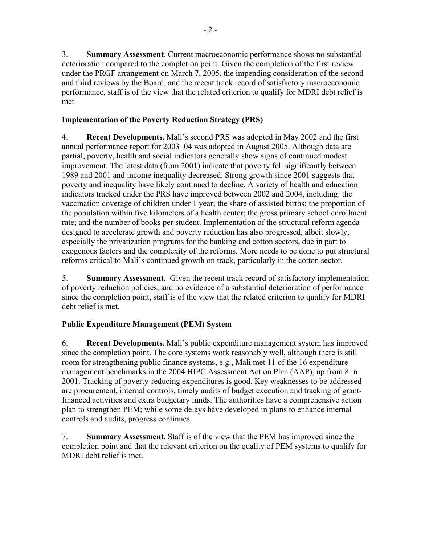3. **Summary Assessment**. Current macroeconomic performance shows no substantial deterioration compared to the completion point. Given the completion of the first review under the PRGF arrangement on March 7, 2005, the impending consideration of the second and third reviews by the Board, and the recent track record of satisfactory macroeconomic performance, staff is of the view that the related criterion to qualify for MDRI debt relief is met.

## **Implementation of the Poverty Reduction Strategy (PRS)**

4. **Recent Developments.** Mali's second PRS was adopted in May 2002 and the first annual performance report for 2003–04 was adopted in August 2005. Although data are partial, poverty, health and social indicators generally show signs of continued modest improvement. The latest data (from 2001) indicate that poverty fell significantly between 1989 and 2001 and income inequality decreased. Strong growth since 2001 suggests that poverty and inequality have likely continued to decline. A variety of health and education indicators tracked under the PRS have improved between 2002 and 2004, including: the vaccination coverage of children under 1 year; the share of assisted births; the proportion of the population within five kilometers of a health center; the gross primary school enrollment rate; and the number of books per student. Implementation of the structural reform agenda designed to accelerate growth and poverty reduction has also progressed, albeit slowly, especially the privatization programs for the banking and cotton sectors, due in part to exogenous factors and the complexity of the reforms. More needs to be done to put structural reforms critical to Mali's continued growth on track, particularly in the cotton sector.

5. **Summary Assessment.** Given the recent track record of satisfactory implementation of poverty reduction policies, and no evidence of a substantial deterioration of performance since the completion point, staff is of the view that the related criterion to qualify for MDRI debt relief is met.

## **Public Expenditure Management (PEM) System**

6. **Recent Developments.** Mali's public expenditure management system has improved since the completion point. The core systems work reasonably well, although there is still room for strengthening public finance systems, e.g., Mali met 11 of the 16 expenditure management benchmarks in the 2004 HIPC Assessment Action Plan (AAP), up from 8 in 2001. Tracking of poverty-reducing expenditures is good. Key weaknesses to be addressed are procurement, internal controls, timely audits of budget execution and tracking of grantfinanced activities and extra budgetary funds. The authorities have a comprehensive action plan to strengthen PEM; while some delays have developed in plans to enhance internal controls and audits, progress continues.

7. **Summary Assessment.** Staff is of the view that the PEM has improved since the completion point and that the relevant criterion on the quality of PEM systems to qualify for MDRI debt relief is met.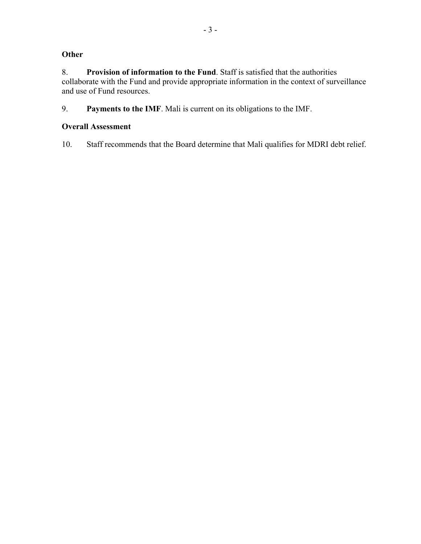# **Other**

8. **Provision of information to the Fund**. Staff is satisfied that the authorities collaborate with the Fund and provide appropriate information in the context of surveillance and use of Fund resources.

9. **Payments to the IMF**. Mali is current on its obligations to the IMF.

### **Overall Assessment**

10. Staff recommends that the Board determine that Mali qualifies for MDRI debt relief.